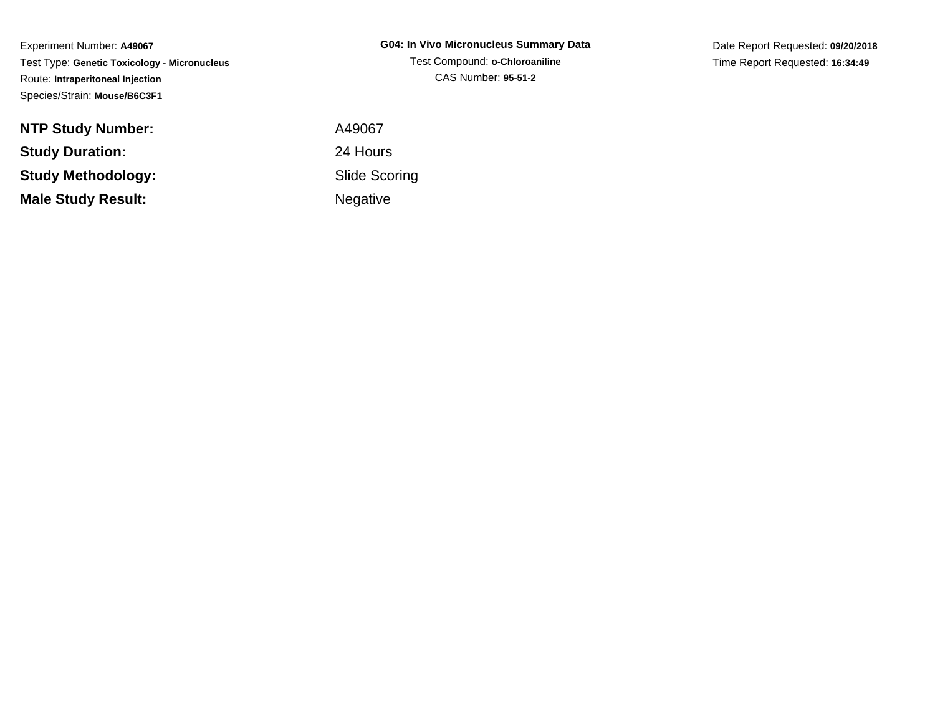Experiment Number: **A49067** Test Type: **Genetic Toxicology - Micronucleus**Route: **Intraperitoneal Injection**Species/Strain: **Mouse/B6C3F1**

**NTP Study Number:Study Duration:Study Methodology:Male Study Result:**

**G04: In Vivo Micronucleus Summary Data**Test Compound: **o-Chloroaniline**CAS Number: **95-51-2**

Date Report Requested: **09/20/2018**Time Report Requested: **16:34:49**

 A49067 24 Hours Slide ScoringNegative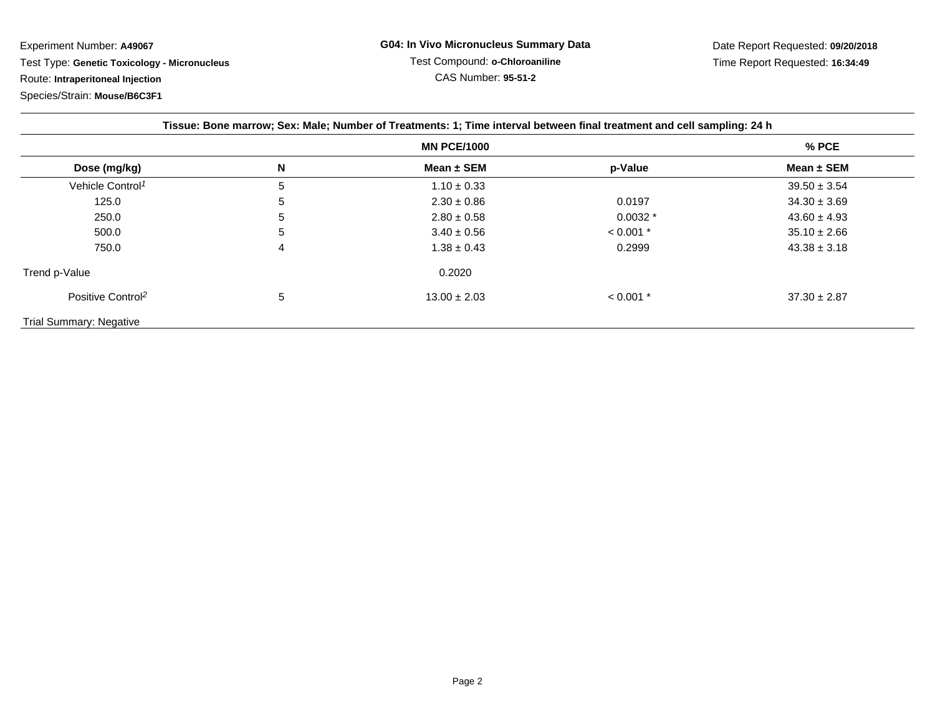Experiment Number: **A49067**

Test Type: **Genetic Toxicology - Micronucleus**

Route: **Intraperitoneal Injection**

Species/Strain: **Mouse/B6C3F1**

| Tissue: Bone marrow; Sex: Male; Number of Treatments: 1; Time interval between final treatment and cell sampling: 24 h |         |                  |             |                  |  |  |
|------------------------------------------------------------------------------------------------------------------------|---------|------------------|-------------|------------------|--|--|
|                                                                                                                        | $%$ PCE |                  |             |                  |  |  |
| Dose (mg/kg)                                                                                                           | N       | Mean $\pm$ SEM   | p-Value     | Mean $\pm$ SEM   |  |  |
| Vehicle Control <sup>1</sup>                                                                                           | 5       | $1.10 \pm 0.33$  |             | $39.50 \pm 3.54$ |  |  |
| 125.0                                                                                                                  | 5       | $2.30 \pm 0.86$  | 0.0197      | $34.30 \pm 3.69$ |  |  |
| 250.0                                                                                                                  | 5       | $2.80 \pm 0.58$  | $0.0032*$   | $43.60 \pm 4.93$ |  |  |
| 500.0                                                                                                                  | 5       | $3.40 \pm 0.56$  | $< 0.001$ * | $35.10 \pm 2.66$ |  |  |
| 750.0                                                                                                                  | 4       | $1.38 \pm 0.43$  | 0.2999      | $43.38 \pm 3.18$ |  |  |
| Trend p-Value                                                                                                          |         | 0.2020           |             |                  |  |  |
| Positive Control <sup>2</sup>                                                                                          | 5       | $13.00 \pm 2.03$ | $< 0.001$ * | $37.30 \pm 2.87$ |  |  |
| <b>Trial Summary: Negative</b>                                                                                         |         |                  |             |                  |  |  |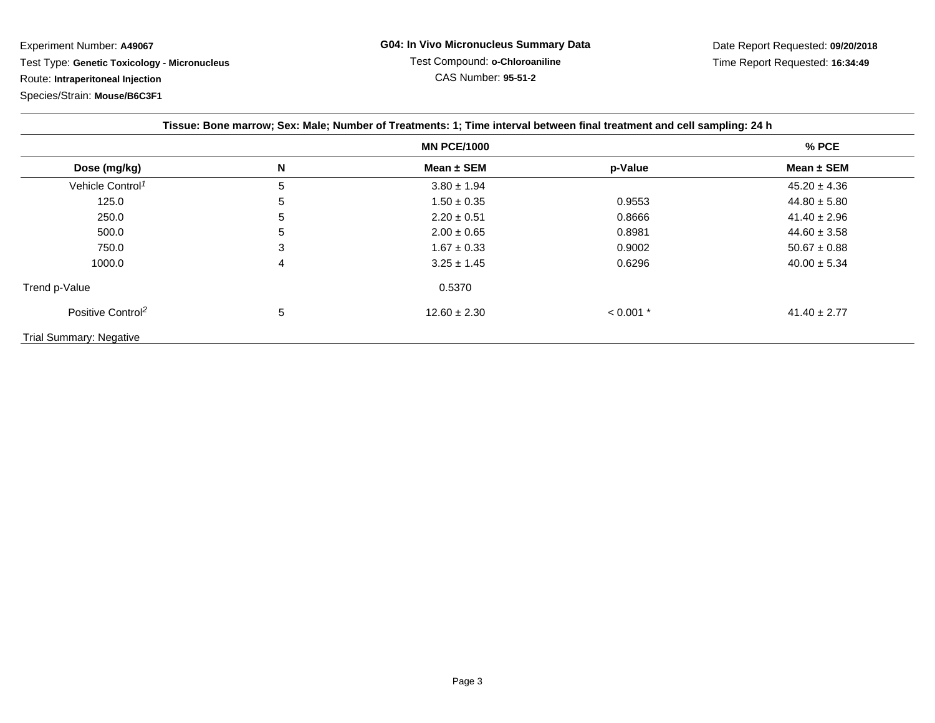Experiment Number: **A49067**

Test Type: **Genetic Toxicology - Micronucleus**

Route: **Intraperitoneal Injection**

Species/Strain: **Mouse/B6C3F1**

| Tissue: Bone marrow; Sex: Male; Number of Treatments: 1; Time interval between final treatment and cell sampling: 24 h |       |                  |             |                  |  |  |
|------------------------------------------------------------------------------------------------------------------------|-------|------------------|-------------|------------------|--|--|
|                                                                                                                        | % PCE |                  |             |                  |  |  |
| Dose (mg/kg)                                                                                                           | N     | Mean $\pm$ SEM   | p-Value     | Mean $\pm$ SEM   |  |  |
| Vehicle Control <sup>1</sup>                                                                                           | 5     | $3.80 \pm 1.94$  |             | $45.20 \pm 4.36$ |  |  |
| 125.0                                                                                                                  | 5     | $1.50 \pm 0.35$  | 0.9553      | $44.80 \pm 5.80$ |  |  |
| 250.0                                                                                                                  | 5     | $2.20 \pm 0.51$  | 0.8666      | $41.40 \pm 2.96$ |  |  |
| 500.0                                                                                                                  | 5     | $2.00 \pm 0.65$  | 0.8981      | $44.60 \pm 3.58$ |  |  |
| 750.0                                                                                                                  | 3     | $1.67 \pm 0.33$  | 0.9002      | $50.67 \pm 0.88$ |  |  |
| 1000.0                                                                                                                 | 4     | $3.25 \pm 1.45$  | 0.6296      | $40.00 \pm 5.34$ |  |  |
| Trend p-Value                                                                                                          |       | 0.5370           |             |                  |  |  |
| Positive Control <sup>2</sup>                                                                                          | 5     | $12.60 \pm 2.30$ | $< 0.001$ * | $41.40 \pm 2.77$ |  |  |
| <b>Trial Summary: Negative</b>                                                                                         |       |                  |             |                  |  |  |